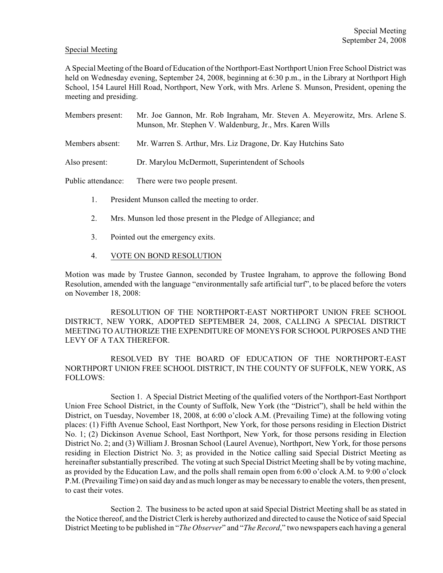### Special Meeting

A Special Meeting of the Board of Education of the Northport-East Northport Union Free School District was held on Wednesday evening, September 24, 2008, beginning at 6:30 p.m., in the Library at Northport High School, 154 Laurel Hill Road, Northport, New York, with Mrs. Arlene S. Munson, President, opening the meeting and presiding.

| Members present:   | Mr. Joe Gannon, Mr. Rob Ingraham, Mr. Steven A. Meyerowitz, Mrs. Arlene S.<br>Munson, Mr. Stephen V. Waldenburg, Jr., Mrs. Karen Wills |
|--------------------|----------------------------------------------------------------------------------------------------------------------------------------|
| Members absent:    | Mr. Warren S. Arthur, Mrs. Liz Dragone, Dr. Kay Hutchins Sato                                                                          |
| Also present:      | Dr. Marylou McDermott, Superintendent of Schools                                                                                       |
| Public attendance: | There were two people present.                                                                                                         |

- 1. President Munson called the meeting to order.
- 2. Mrs. Munson led those present in the Pledge of Allegiance; and
- 3. Pointed out the emergency exits.
- 4. VOTE ON BOND RESOLUTION

Motion was made by Trustee Gannon, seconded by Trustee Ingraham, to approve the following Bond Resolution, amended with the language "environmentally safe artificial turf", to be placed before the voters on November 18, 2008:

RESOLUTION OF THE NORTHPORT-EAST NORTHPORT UNION FREE SCHOOL DISTRICT, NEW YORK, ADOPTED SEPTEMBER 24, 2008, CALLING A SPECIAL DISTRICT MEETING TO AUTHORIZE THE EXPENDITURE OF MONEYS FOR SCHOOL PURPOSES AND THE LEVY OF A TAX THEREFOR.

RESOLVED BY THE BOARD OF EDUCATION OF THE NORTHPORT-EAST NORTHPORT UNION FREE SCHOOL DISTRICT, IN THE COUNTY OF SUFFOLK, NEW YORK, AS FOLLOWS:

Section 1. A Special District Meeting of the qualified voters of the Northport-East Northport Union Free School District, in the County of Suffolk, New York (the "District"), shall be held within the District, on Tuesday, November 18, 2008, at 6:00 o'clock A.M. (Prevailing Time) at the following voting places: (1) Fifth Avenue School, East Northport, New York, for those persons residing in Election District No. 1; (2) Dickinson Avenue School, East Northport, New York, for those persons residing in Election District No. 2; and (3) William J. Brosnan School (Laurel Avenue), Northport, New York, for those persons residing in Election District No. 3; as provided in the Notice calling said Special District Meeting as hereinafter substantially prescribed. The voting at such Special District Meeting shall be by voting machine, as provided by the Education Law, and the polls shall remain open from 6:00 o'clock A.M. to 9:00 o'clock P.M. (Prevailing Time) on said day and as much longer as may be necessary to enable the voters, then present, to cast their votes.

Section 2. The business to be acted upon at said Special District Meeting shall be as stated in the Notice thereof, and the District Clerk is hereby authorized and directed to cause the Notice of said Special District Meeting to be published in "*The Observer*" and "*The Record*," two newspapers each having a general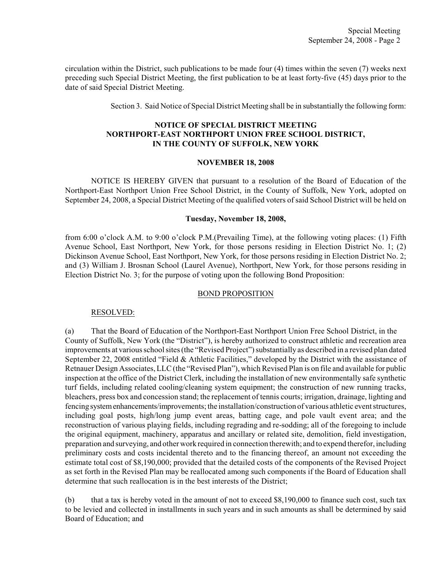circulation within the District, such publications to be made four (4) times within the seven (7) weeks next preceding such Special District Meeting, the first publication to be at least forty-five (45) days prior to the date of said Special District Meeting.

Section 3. Said Notice of Special District Meeting shall be in substantially the following form:

# **NOTICE OF SPECIAL DISTRICT MEETING NORTHPORT-EAST NORTHPORT UNION FREE SCHOOL DISTRICT, IN THE COUNTY OF SUFFOLK, NEW YORK**

#### **NOVEMBER 18, 2008**

NOTICE IS HEREBY GIVEN that pursuant to a resolution of the Board of Education of the Northport-East Northport Union Free School District, in the County of Suffolk, New York, adopted on September 24, 2008, a Special District Meeting of the qualified voters of said School District will be held on

### **Tuesday, November 18, 2008,**

from 6:00 o'clock A.M. to 9:00 o'clock P.M.(Prevailing Time), at the following voting places: (1) Fifth Avenue School, East Northport, New York, for those persons residing in Election District No. 1; (2) Dickinson Avenue School, East Northport, New York, for those persons residing in Election District No. 2; and (3) William J. Brosnan School (Laurel Avenue), Northport, New York, for those persons residing in Election District No. 3; for the purpose of voting upon the following Bond Proposition:

## BOND PROPOSITION

## RESOLVED:

(a) That the Board of Education of the Northport-East Northport Union Free School District, in the County of Suffolk, New York (the "District"), is hereby authorized to construct athletic and recreation area improvements at various school sites (the "Revised Project") substantially as described in a revised plan dated September 22, 2008 entitled "Field & Athletic Facilities," developed by the District with the assistance of Retnauer Design Associates,LLC(the "Revised Plan"), which Revised Plan is on file and available for public inspection at the office of the District Clerk, including the installation of new environmentally safe synthetic turf fields, including related cooling/cleaning system equipment; the construction of new running tracks, bleachers, press box and concession stand; the replacement of tennis courts; irrigation, drainage, lighting and fencing system enhancements/improvements; the installation/construction of various athletic event structures, including goal posts, high/long jump event areas, batting cage, and pole vault event area; and the reconstruction of various playing fields, including regrading and re-sodding; all of the foregoing to include the original equipment, machinery, apparatus and ancillary or related site, demolition, field investigation, preparation and surveying, and other work required in connection therewith; and to expend therefor, including preliminary costs and costs incidental thereto and to the financing thereof, an amount not exceeding the estimate total cost of \$8,190,000; provided that the detailed costs of the components of the Revised Project as set forth in the Revised Plan may be reallocated among such components if the Board of Education shall determine that such reallocation is in the best interests of the District;

(b) that a tax is hereby voted in the amount of not to exceed \$8,190,000 to finance such cost, such tax to be levied and collected in installments in such years and in such amounts as shall be determined by said Board of Education; and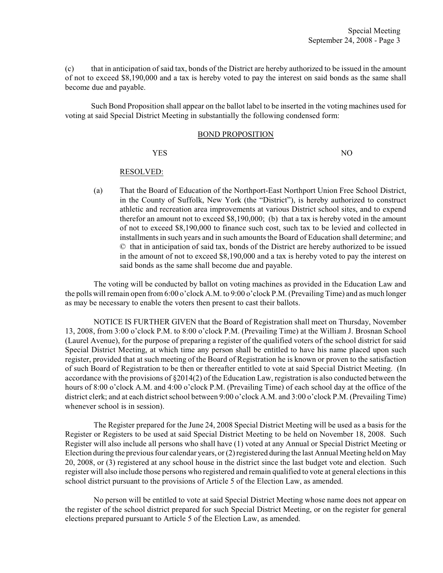(c) that in anticipation of said tax, bonds of the District are hereby authorized to be issued in the amount of not to exceed \$8,190,000 and a tax is hereby voted to pay the interest on said bonds as the same shall become due and payable.

Such Bond Proposition shall appear on the ballot label to be inserted in the voting machines used for voting at said Special District Meeting in substantially the following condensed form:

#### BOND PROPOSITION

YES NO

## RESOLVED:

(a) That the Board of Education of the Northport-East Northport Union Free School District, in the County of Suffolk, New York (the "District"), is hereby authorized to construct athletic and recreation area improvements at various District school sites, and to expend therefor an amount not to exceed \$8,190,000; (b) that a tax is hereby voted in the amount of not to exceed \$8,190,000 to finance such cost, such tax to be levied and collected in installments in such years and in such amounts the Board of Education shall determine; and © that in anticipation of said tax, bonds of the District are hereby authorized to be issued in the amount of not to exceed \$8,190,000 and a tax is hereby voted to pay the interest on said bonds as the same shall become due and payable.

The voting will be conducted by ballot on voting machines as provided in the Education Law and the polls will remain open from 6:00 o'clock A.M. to 9:00 o'clock P.M. (Prevailing Time) and as much longer as may be necessary to enable the voters then present to cast their ballots.

NOTICE IS FURTHER GIVEN that the Board of Registration shall meet on Thursday, November 13, 2008, from 3:00 o'clock P.M. to 8:00 o'clock P.M. (Prevailing Time) at the William J. Brosnan School (Laurel Avenue), for the purpose of preparing a register of the qualified voters of the school district for said Special District Meeting, at which time any person shall be entitled to have his name placed upon such register, provided that at such meeting of the Board of Registration he is known or proven to the satisfaction of such Board of Registration to be then or thereafter entitled to vote at said Special District Meeting. (In accordance with the provisions of §2014(2) of the Education Law, registration is also conducted between the hours of 8:00 o'clock A.M. and 4:00 o'clock P.M. (Prevailing Time) of each school day at the office of the district clerk; and at each district school between 9:00 o'clock A.M. and 3:00 o'clock P.M. (Prevailing Time) whenever school is in session).

The Register prepared for the June 24, 2008 Special District Meeting will be used as a basis for the Register or Registers to be used at said Special District Meeting to be held on November 18, 2008. Such Register will also include all persons who shall have (1) voted at any Annual or Special District Meeting or Election during the previous four calendar years, or (2) registered during the last Annual Meeting held on May 20, 2008, or (3) registered at any school house in the district since the last budget vote and election. Such register will also include those persons who registered and remain qualified to vote at general elections in this school district pursuant to the provisions of Article 5 of the Election Law, as amended.

No person will be entitled to vote at said Special District Meeting whose name does not appear on the register of the school district prepared for such Special District Meeting, or on the register for general elections prepared pursuant to Article 5 of the Election Law, as amended.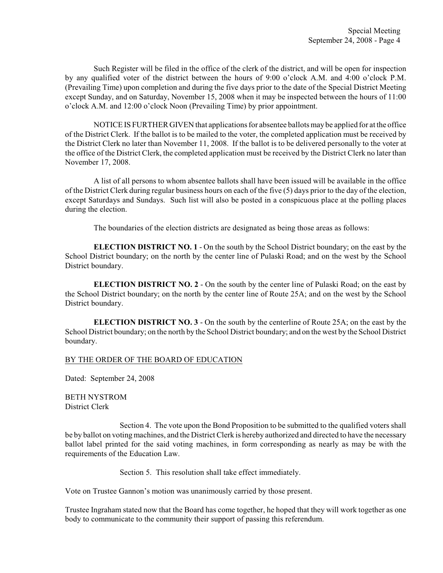Such Register will be filed in the office of the clerk of the district, and will be open for inspection by any qualified voter of the district between the hours of 9:00 o'clock A.M. and 4:00 o'clock P.M. (Prevailing Time) upon completion and during the five days prior to the date of the Special District Meeting except Sunday, and on Saturday, November 15, 2008 when it may be inspected between the hours of 11:00 o'clock A.M. and 12:00 o'clock Noon (Prevailing Time) by prior appointment.

NOTICE IS FURTHER GIVEN that applications for absentee ballots may be applied for at the office of the District Clerk. If the ballot is to be mailed to the voter, the completed application must be received by the District Clerk no later than November 11, 2008. If the ballot is to be delivered personally to the voter at the office of the District Clerk, the completed application must be received by the District Clerk no later than November 17, 2008.

A list of all persons to whom absentee ballots shall have been issued will be available in the office of the District Clerk during regular business hours on each of the five (5) days prior to the day of the election, except Saturdays and Sundays. Such list will also be posted in a conspicuous place at the polling places during the election.

The boundaries of the election districts are designated as being those areas as follows:

**ELECTION DISTRICT NO. 1 - On the south by the School District boundary; on the east by the** School District boundary; on the north by the center line of Pulaski Road; and on the west by the School District boundary.

**ELECTION DISTRICT NO. 2** - On the south by the center line of Pulaski Road; on the east by the School District boundary; on the north by the center line of Route 25A; and on the west by the School District boundary.

**ELECTION DISTRICT NO. 3** - On the south by the centerline of Route 25A; on the east by the School District boundary; on the north by the School District boundary; and on the west by the School District boundary.

#### BY THE ORDER OF THE BOARD OF EDUCATION

Dated: September 24, 2008

BETH NYSTROM District Clerk

Section 4. The vote upon the Bond Proposition to be submitted to the qualified voters shall be by ballot on voting machines, and the District Clerk is hereby authorized and directed to have the necessary ballot label printed for the said voting machines, in form corresponding as nearly as may be with the requirements of the Education Law.

Section 5. This resolution shall take effect immediately.

Vote on Trustee Gannon's motion was unanimously carried by those present.

Trustee Ingraham stated now that the Board has come together, he hoped that they will work together as one body to communicate to the community their support of passing this referendum.